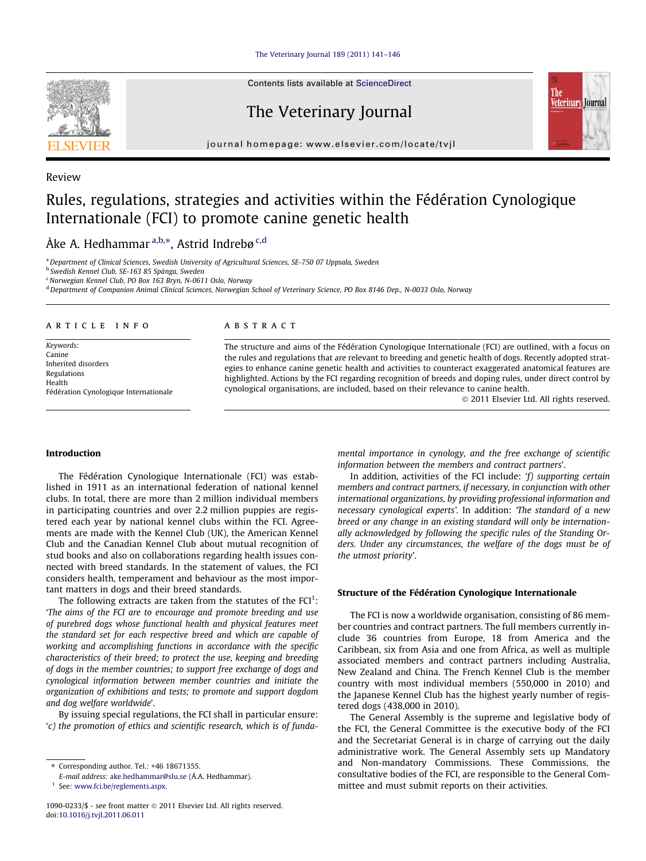[The Veterinary Journal 189 \(2011\) 141–146](http://dx.doi.org/10.1016/j.tvjl.2011.06.011)



Contents lists available at [ScienceDirect](http://www.sciencedirect.com/science/journal/10900233)

The Veterinary Journal

journal homepage: [www.elsevier.com/locate/tvjl](http://www.elsevier.com/locate/tvjl)

# Review

# Rules, regulations, strategies and activities within the Fédération Cynologique Internationale (FCI) to promote canine genetic health

# Åke A. Hedhammar <sup>a,b,</sup>\*, Astrid Indrebø <sup>c,d</sup>

a Department of Clinical Sciences, Swedish University of Agricultural Sciences, SE-750 07 Uppsala, Sweden

<sup>b</sup> Swedish Kennel Club, SE-163 85 Spånga, Sweden

<sup>c</sup> Norwegian Kennel Club, PO Box 163 Bryn, N-0611 Oslo, Norway

<sup>d</sup> Department of Companion Animal Clinical Sciences, Norwegian School of Veterinary Science, PO Box 8146 Dep., N-0033 Oslo, Norway

#### article info

Keywords: Canine Inherited disorders Regulations Health Fédération Cynologique Internationale

# **ABSTRACT**

The structure and aims of the Fédération Cynologique Internationale (FCI) are outlined, with a focus on the rules and regulations that are relevant to breeding and genetic health of dogs. Recently adopted strategies to enhance canine genetic health and activities to counteract exaggerated anatomical features are highlighted. Actions by the FCI regarding recognition of breeds and doping rules, under direct control by cynological organisations, are included, based on their relevance to canine health.

- 2011 Elsevier Ltd. All rights reserved.

The

**Veterinary Journal** 

#### Introduction

The Fédération Cynologique Internationale (FCI) was established in 1911 as an international federation of national kennel clubs. In total, there are more than 2 million individual members in participating countries and over 2.2 million puppies are registered each year by national kennel clubs within the FCI. Agreements are made with the Kennel Club (UK), the American Kennel Club and the Canadian Kennel Club about mutual recognition of stud books and also on collaborations regarding health issues connected with breed standards. In the statement of values, the FCI considers health, temperament and behaviour as the most important matters in dogs and their breed standards.

The following extracts are taken from the statutes of the FCI<sup>1</sup>: 'The aims of the FCI are to encourage and promote breeding and use of purebred dogs whose functional health and physical features meet the standard set for each respective breed and which are capable of working and accomplishing functions in accordance with the specific characteristics of their breed; to protect the use, keeping and breeding of dogs in the member countries; to support free exchange of dogs and cynological information between member countries and initiate the organization of exhibitions and tests; to promote and support dogdom and dog welfare worldwide'.

By issuing special regulations, the FCI shall in particular ensure: 'c) the promotion of ethics and scientific research, which is of funda-

E-mail address: [ake.hedhammar@slu.se](mailto:ake.hedhammar@slu.se) (Å.A. Hedhammar).

<sup>1</sup> See: [www.fci.be/reglements.aspx.](http://www.fci.be/reglements.aspx)

mental importance in cynology, and the free exchange of scientific information between the members and contract partners'.

In addition, activities of the FCI include: 'f) supporting certain members and contract partners, if necessary, in conjunction with other international organizations, by providing professional information and necessary cynological experts'. In addition: 'The standard of a new breed or any change in an existing standard will only be internationally acknowledged by following the specific rules of the Standing Orders. Under any circumstances, the welfare of the dogs must be of the utmost priority'.

#### Structure of the Fédération Cynologique Internationale

The FCI is now a worldwide organisation, consisting of 86 member countries and contract partners. The full members currently include 36 countries from Europe, 18 from America and the Caribbean, six from Asia and one from Africa, as well as multiple associated members and contract partners including Australia, New Zealand and China. The French Kennel Club is the member country with most individual members (550,000 in 2010) and the Japanese Kennel Club has the highest yearly number of registered dogs (438,000 in 2010).

The General Assembly is the supreme and legislative body of the FCI, the General Committee is the executive body of the FCI and the Secretariat General is in charge of carrying out the daily administrative work. The General Assembly sets up Mandatory and Non-mandatory Commissions. These Commissions, the consultative bodies of the FCI, are responsible to the General Committee and must submit reports on their activities.

<sup>⇑</sup> Corresponding author. Tel.: +46 18671355.

<sup>1090-0233/\$ -</sup> see front matter @ 2011 Elsevier Ltd. All rights reserved. doi[:10.1016/j.tvjl.2011.06.011](http://dx.doi.org/10.1016/j.tvjl.2011.06.011)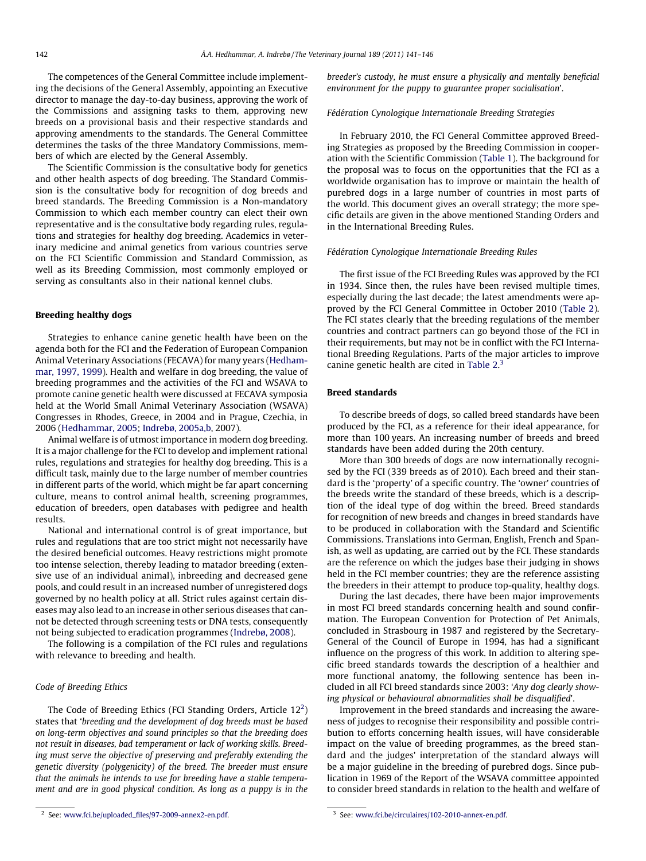The competences of the General Committee include implementing the decisions of the General Assembly, appointing an Executive director to manage the day-to-day business, approving the work of the Commissions and assigning tasks to them, approving new breeds on a provisional basis and their respective standards and approving amendments to the standards. The General Committee determines the tasks of the three Mandatory Commissions, members of which are elected by the General Assembly.

The Scientific Commission is the consultative body for genetics and other health aspects of dog breeding. The Standard Commission is the consultative body for recognition of dog breeds and breed standards. The Breeding Commission is a Non-mandatory Commission to which each member country can elect their own representative and is the consultative body regarding rules, regulations and strategies for healthy dog breeding. Academics in veterinary medicine and animal genetics from various countries serve on the FCI Scientific Commission and Standard Commission, as well as its Breeding Commission, most commonly employed or serving as consultants also in their national kennel clubs.

#### Breeding healthy dogs

Strategies to enhance canine genetic health have been on the agenda both for the FCI and the Federation of European Companion Animal Veterinary Associations (FECAVA) for many years [\(Hedham](#page-5-0)[mar, 1997, 1999](#page-5-0)). Health and welfare in dog breeding, the value of breeding programmes and the activities of the FCI and WSAVA to promote canine genetic health were discussed at FECAVA symposia held at the World Small Animal Veterinary Association (WSAVA) Congresses in Rhodes, Greece, in 2004 and in Prague, Czechia, in 2006 ([Hedhammar, 2005;](#page-5-0) [Indrebø, 2005a,b,](#page-5-0) 2007).

Animal welfare is of utmost importance in modern dog breeding. It is a major challenge for the FCI to develop and implement rational rules, regulations and strategies for healthy dog breeding. This is a difficult task, mainly due to the large number of member countries in different parts of the world, which might be far apart concerning culture, means to control animal health, screening programmes, education of breeders, open databases with pedigree and health results.

National and international control is of great importance, but rules and regulations that are too strict might not necessarily have the desired beneficial outcomes. Heavy restrictions might promote too intense selection, thereby leading to matador breeding (extensive use of an individual animal), inbreeding and decreased gene pools, and could result in an increased number of unregistered dogs governed by no health policy at all. Strict rules against certain diseases may also lead to an increase in other serious diseases that cannot be detected through screening tests or DNA tests, consequently not being subjected to eradication programmes ([Indrebø, 2008\)](#page-5-0).

The following is a compilation of the FCI rules and regulations with relevance to breeding and health.

#### Code of Breeding Ethics

The Code of Breeding Ethics (FCI Standing Orders, Article  $12<sup>2</sup>$ ) states that 'breeding and the development of dog breeds must be based on long-term objectives and sound principles so that the breeding does not result in diseases, bad temperament or lack of working skills. Breeding must serve the objective of preserving and preferably extending the genetic diversity (polygenicity) of the breed. The breeder must ensure that the animals he intends to use for breeding have a stable temperament and are in good physical condition. As long as a puppy is in the breeder's custody, he must ensure a physically and mentally beneficial environment for the puppy to guarantee proper socialisation'.

#### Fédération Cynologique Internationale Breeding Strategies

In February 2010, the FCI General Committee approved Breeding Strategies as proposed by the Breeding Commission in cooperation with the Scientific Commission [\(Table 1](#page-2-0)). The background for the proposal was to focus on the opportunities that the FCI as a worldwide organisation has to improve or maintain the health of purebred dogs in a large number of countries in most parts of the world. This document gives an overall strategy; the more specific details are given in the above mentioned Standing Orders and in the International Breeding Rules.

#### Fédération Cynologique Internationale Breeding Rules

The first issue of the FCI Breeding Rules was approved by the FCI in 1934. Since then, the rules have been revised multiple times, especially during the last decade; the latest amendments were approved by the FCI General Committee in October 2010 ([Table 2\)](#page-3-0). The FCI states clearly that the breeding regulations of the member countries and contract partners can go beyond those of the FCI in their requirements, but may not be in conflict with the FCI International Breeding Regulations. Parts of the major articles to improve canine genetic health are cited in [Table 2](#page-3-0). 3

# Breed standards

To describe breeds of dogs, so called breed standards have been produced by the FCI, as a reference for their ideal appearance, for more than 100 years. An increasing number of breeds and breed standards have been added during the 20th century.

More than 300 breeds of dogs are now internationally recognised by the FCI (339 breeds as of 2010). Each breed and their standard is the 'property' of a specific country. The 'owner' countries of the breeds write the standard of these breeds, which is a description of the ideal type of dog within the breed. Breed standards for recognition of new breeds and changes in breed standards have to be produced in collaboration with the Standard and Scientific Commissions. Translations into German, English, French and Spanish, as well as updating, are carried out by the FCI. These standards are the reference on which the judges base their judging in shows held in the FCI member countries; they are the reference assisting the breeders in their attempt to produce top-quality, healthy dogs.

During the last decades, there have been major improvements in most FCI breed standards concerning health and sound confirmation. The European Convention for Protection of Pet Animals, concluded in Strasbourg in 1987 and registered by the Secretary-General of the Council of Europe in 1994, has had a significant influence on the progress of this work. In addition to altering specific breed standards towards the description of a healthier and more functional anatomy, the following sentence has been included in all FCI breed standards since 2003: 'Any dog clearly showing physical or behavioural abnormalities shall be disqualified'.

Improvement in the breed standards and increasing the awareness of judges to recognise their responsibility and possible contribution to efforts concerning health issues, will have considerable impact on the value of breeding programmes, as the breed standard and the judges' interpretation of the standard always will be a major guideline in the breeding of purebred dogs. Since publication in 1969 of the Report of the WSAVA committee appointed to consider breed standards in relation to the health and welfare of

<sup>&</sup>lt;sup>2</sup> See: [www.fci.be/uploaded\\_files/97-2009-annex2-en.pdf.](http://www.fci.be/uploaded_files/97-2009-annex2-en.pdf)  $\frac{3}{2}$  See: [www.fci.be/circulaires/102-2010-annex-en.pdf](http://www.fci.be/circulaires/102-2010-annex-en.pdf).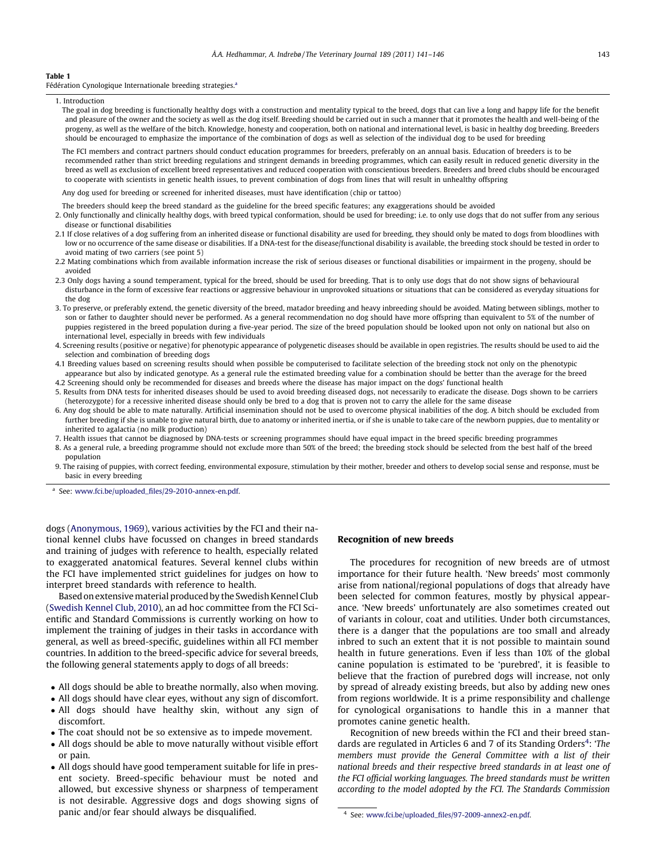#### <span id="page-2-0"></span>Table 1

Fédération Cynologique Internationale breeding strategies.<sup>a</sup>

1. Introduction

The goal in dog breeding is functionally healthy dogs with a construction and mentality typical to the breed, dogs that can live a long and happy life for the benefit and pleasure of the owner and the society as well as the dog itself. Breeding should be carried out in such a manner that it promotes the health and well-being of the progeny, as well as the welfare of the bitch. Knowledge, honesty and cooperation, both on national and international level, is basic in healthy dog breeding. Breeders should be encouraged to emphasize the importance of the combination of dogs as well as selection of the individual dog to be used for breeding

The FCI members and contract partners should conduct education programmes for breeders, preferably on an annual basis. Education of breeders is to be recommended rather than strict breeding regulations and stringent demands in breeding programmes, which can easily result in reduced genetic diversity in the breed as well as exclusion of excellent breed representatives and reduced cooperation with conscientious breeders. Breeders and breed clubs should be encouraged to cooperate with scientists in genetic health issues, to prevent combination of dogs from lines that will result in unhealthy offspring

Any dog used for breeding or screened for inherited diseases, must have identification (chip or tattoo)

The breeders should keep the breed standard as the guideline for the breed specific features; any exaggerations should be avoided

- 2. Only functionally and clinically healthy dogs, with breed typical conformation, should be used for breeding; i.e. to only use dogs that do not suffer from any serious disease or functional disabilities
- 2.1 If close relatives of a dog suffering from an inherited disease or functional disability are used for breeding, they should only be mated to dogs from bloodlines with low or no occurrence of the same disease or disabilities. If a DNA-test for the disease/functional disability is available, the breeding stock should be tested in order to avoid mating of two carriers (see point 5)
- 2.2 Mating combinations which from available information increase the risk of serious diseases or functional disabilities or impairment in the progeny, should be avoided
- 2.3 Only dogs having a sound temperament, typical for the breed, should be used for breeding. That is to only use dogs that do not show signs of behavioural disturbance in the form of excessive fear reactions or aggressive behaviour in unprovoked situations or situations that can be considered as everyday situations for the dog
- 3. To preserve, or preferably extend, the genetic diversity of the breed, matador breeding and heavy inbreeding should be avoided. Mating between siblings, mother to son or father to daughter should never be performed. As a general recommendation no dog should have more offspring than equivalent to 5% of the number of puppies registered in the breed population during a five-year period. The size of the breed population should be looked upon not only on national but also on international level, especially in breeds with few individuals
- 4. Screening results (positive or negative) for phenotypic appearance of polygenetic diseases should be available in open registries. The results should be used to aid the selection and combination of breeding dogs
- 4.1 Breeding values based on screening results should when possible be computerised to facilitate selection of the breeding stock not only on the phenotypic appearance but also by indicated genotype. As a general rule the estimated breeding value for a combination should be better than the average for the breed 4.2 Screening should only be recommended for diseases and breeds where the disease has major impact on the dogs' functional health
- 5. Results from DNA tests for inherited diseases should be used to avoid breeding diseased dogs, not necessarily to eradicate the disease. Dogs shown to be carriers (heterozygote) for a recessive inherited disease should only be bred to a dog that is proven not to carry the allele for the same disease
- 6. Any dog should be able to mate naturally. Artificial insemination should not be used to overcome physical inabilities of the dog. A bitch should be excluded from further breeding if she is unable to give natural birth, due to anatomy or inherited inertia, or if she is unable to take care of the newborn puppies, due to mentality or inherited to agalactia (no milk production)
- 7. Health issues that cannot be diagnosed by DNA-tests or screening programmes should have equal impact in the breed specific breeding programmes
- 8. As a general rule, a breeding programme should not exclude more than 50% of the breed; the breeding stock should be selected from the best half of the breed population
- 9. The raising of puppies, with correct feeding, environmental exposure, stimulation by their mother, breeder and others to develop social sense and response, must be basic in every breeding

<sup>a</sup> See: [www.fci.be/uploaded\\_files/29-2010-annex-en.pdf.](http://www.fci.be/uploaded_files/29-2010-annex-en.pdf)

dogs [\(Anonymous, 1969](#page-5-0)), various activities by the FCI and their national kennel clubs have focussed on changes in breed standards and training of judges with reference to health, especially related to exaggerated anatomical features. Several kennel clubs within the FCI have implemented strict guidelines for judges on how to interpret breed standards with reference to health.

Based on extensive material produced by the Swedish Kennel Club ([Swedish Kennel Club, 2010\)](#page-5-0), an ad hoc committee from the FCI Scientific and Standard Commissions is currently working on how to implement the training of judges in their tasks in accordance with general, as well as breed-specific, guidelines within all FCI member countries. In addition to the breed-specific advice for several breeds, the following general statements apply to dogs of all breeds:

- All dogs should be able to breathe normally, also when moving.
- All dogs should have clear eyes, without any sign of discomfort. - All dogs should have healthy skin, without any sign of
- discomfort.
- The coat should not be so extensive as to impede movement.
- All dogs should be able to move naturally without visible effort or pain.
- All dogs should have good temperament suitable for life in present society. Breed-specific behaviour must be noted and allowed, but excessive shyness or sharpness of temperament is not desirable. Aggressive dogs and dogs showing signs of panic and/or fear should always be disqualified.

#### Recognition of new breeds

The procedures for recognition of new breeds are of utmost importance for their future health. 'New breeds' most commonly arise from national/regional populations of dogs that already have been selected for common features, mostly by physical appearance. 'New breeds' unfortunately are also sometimes created out of variants in colour, coat and utilities. Under both circumstances, there is a danger that the populations are too small and already inbred to such an extent that it is not possible to maintain sound health in future generations. Even if less than 10% of the global canine population is estimated to be 'purebred', it is feasible to believe that the fraction of purebred dogs will increase, not only by spread of already existing breeds, but also by adding new ones from regions worldwide. It is a prime responsibility and challenge for cynological organisations to handle this in a manner that promotes canine genetic health.

Recognition of new breeds within the FCI and their breed standards are regulated in Articles 6 and 7 of its Standing Orders<sup>4</sup>: 'The members must provide the General Committee with a list of their national breeds and their respective breed standards in at least one of the FCI official working languages. The breed standards must be written according to the model adopted by the FCI. The Standards Commission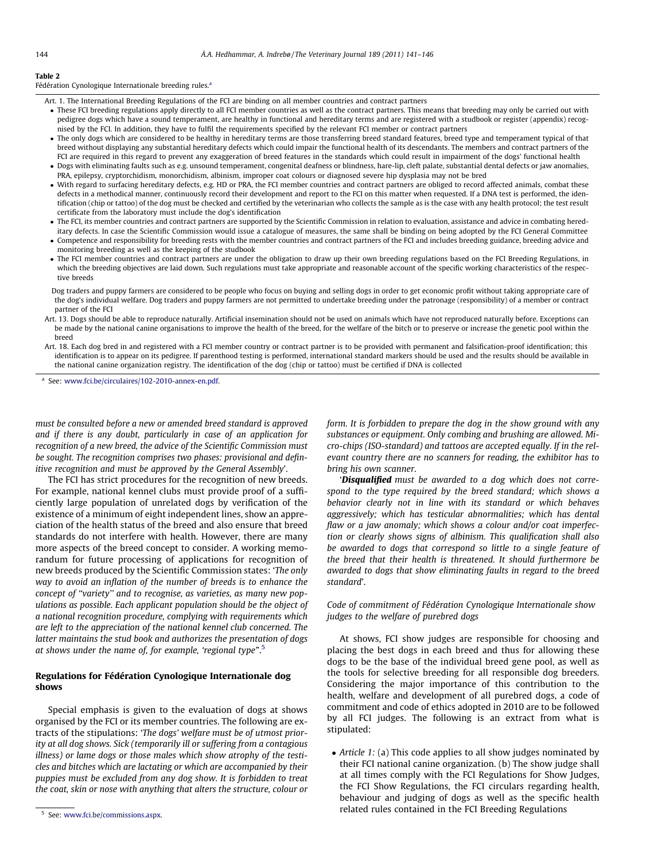#### <span id="page-3-0"></span>Table 2

Fédération Cynologique Internationale breeding rules.<sup>a</sup>

Art. 1. The International Breeding Regulations of the FCI are binding on all member countries and contract partners

- These FCI breeding regulations apply directly to all FCI member countries as well as the contract partners. This means that breeding may only be carried out with pedigree dogs which have a sound temperament, are healthy in functional and hereditary terms and are registered with a studbook or register (appendix) recognised by the FCI. In addition, they have to fulfil the requirements specified by the relevant FCI member or contract partners
- The only dogs which are considered to be healthy in hereditary terms are those transferring breed standard features, breed type and temperament typical of that breed without displaying any substantial hereditary defects which could impair the functional health of its descendants. The members and contract partners of the FCI are required in this regard to prevent any exaggeration of breed features in the standards which could result in impairment of the dogs' functional health
- Dogs with eliminating faults such as e.g. unsound temperament, congenital deafness or blindness, hare-lip, cleft palate, substantial dental defects or jaw anomalies, PRA, epilepsy, cryptorchidism, monorchidism, albinism, improper coat colours or diagnosed severe hip dysplasia may not be bred
- With regard to surfacing hereditary defects, e.g. HD or PRA, the FCI member countries and contract partners are obliged to record affected animals, combat these defects in a methodical manner, continuously record their development and report to the FCI on this matter when requested. If a DNA test is performed, the identification (chip or tattoo) of the dog must be checked and certified by the veterinarian who collects the sample as is the case with any health protocol; the test result certificate from the laboratory must include the dog's identification
- The FCI, its member countries and contract partners are supported by the Scientific Commission in relation to evaluation, assistance and advice in combating hereditary defects. In case the Scientific Commission would issue a catalogue of measures, the same shall be binding on being adopted by the FCI General Committee
- Competence and responsibility for breeding rests with the member countries and contract partners of the FCI and includes breeding guidance, breeding advice and monitoring breeding as well as the keeping of the studbook
- The FCI member countries and contract partners are under the obligation to draw up their own breeding regulations based on the FCI Breeding Regulations, in which the breeding objectives are laid down. Such regulations must take appropriate and reasonable account of the specific working characteristics of the respective breeds
- Dog traders and puppy farmers are considered to be people who focus on buying and selling dogs in order to get economic profit without taking appropriate care of the dog's individual welfare. Dog traders and puppy farmers are not permitted to undertake breeding under the patronage (responsibility) of a member or contract partner of the FCI
- Art. 13. Dogs should be able to reproduce naturally. Artificial insemination should not be used on animals which have not reproduced naturally before. Exceptions can be made by the national canine organisations to improve the health of the breed, for the welfare of the bitch or to preserve or increase the genetic pool within the breed
- Art. 18. Each dog bred in and registered with a FCI member country or contract partner is to be provided with permanent and falsification-proof identification; this identification is to appear on its pedigree. If parenthood testing is performed, international standard markers should be used and the results should be available in the national canine organization registry. The identification of the dog (chip or tattoo) must be certified if DNA is collected

<sup>a</sup> See: [www.fci.be/circulaires/102-2010-annex-en.pdf](http://www.fci.be/circulaires/102-2010-annex-en.pdf).

must be consulted before a new or amended breed standard is approved and if there is any doubt, particularly in case of an application for recognition of a new breed, the advice of the Scientific Commission must be sought. The recognition comprises two phases: provisional and definitive recognition and must be approved by the General Assembly'.

The FCI has strict procedures for the recognition of new breeds. For example, national kennel clubs must provide proof of a sufficiently large population of unrelated dogs by verification of the existence of a minimum of eight independent lines, show an appreciation of the health status of the breed and also ensure that breed standards do not interfere with health. However, there are many more aspects of the breed concept to consider. A working memorandum for future processing of applications for recognition of new breeds produced by the Scientific Commission states: 'The only way to avoid an inflation of the number of breeds is to enhance the concept of ''variety'' and to recognise, as varieties, as many new populations as possible. Each applicant population should be the object of a national recognition procedure, complying with requirements which are left to the appreciation of the national kennel club concerned. The latter maintains the stud book and authorizes the presentation of dogs at shows under the name of, for example, 'regional type".<sup>5</sup>

# Regulations for Fédération Cynologique Internationale dog shows

Special emphasis is given to the evaluation of dogs at shows organised by the FCI or its member countries. The following are extracts of the stipulations: 'The dogs' welfare must be of utmost priority at all dog shows. Sick (temporarily ill or suffering from a contagious illness) or lame dogs or those males which show atrophy of the testicles and bitches which are lactating or which are accompanied by their puppies must be excluded from any dog show. It is forbidden to treat the coat, skin or nose with anything that alters the structure, colour or form. It is forbidden to prepare the dog in the show ground with any substances or equipment. Only combing and brushing are allowed. Micro-chips (ISO-standard) and tattoos are accepted equally. If in the relevant country there are no scanners for reading, the exhibitor has to bring his own scanner.

'Disqualified must be awarded to a dog which does not correspond to the type required by the breed standard; which shows a behavior clearly not in line with its standard or which behaves aggressively; which has testicular abnormalities; which has dental flaw or a jaw anomaly; which shows a colour and/or coat imperfection or clearly shows signs of albinism. This qualification shall also be awarded to dogs that correspond so little to a single feature of the breed that their health is threatened. It should furthermore be awarded to dogs that show eliminating faults in regard to the breed standard'.

# Code of commitment of Fédération Cynologique Internationale show judges to the welfare of purebred dogs

At shows, FCI show judges are responsible for choosing and placing the best dogs in each breed and thus for allowing these dogs to be the base of the individual breed gene pool, as well as the tools for selective breeding for all responsible dog breeders. Considering the major importance of this contribution to the health, welfare and development of all purebred dogs, a code of commitment and code of ethics adopted in 2010 are to be followed by all FCI judges. The following is an extract from what is stipulated:

• Article 1: (a) This code applies to all show judges nominated by their FCI national canine organization. (b) The show judge shall at all times comply with the FCI Regulations for Show Judges, the FCI Show Regulations, the FCI circulars regarding health, behaviour and judging of dogs as well as the specific health related rules contained in the FCI Breeding Regulations

<sup>5</sup> See: [www.fci.be/commissions.aspx](http://www.fci.be/commissions.aspx).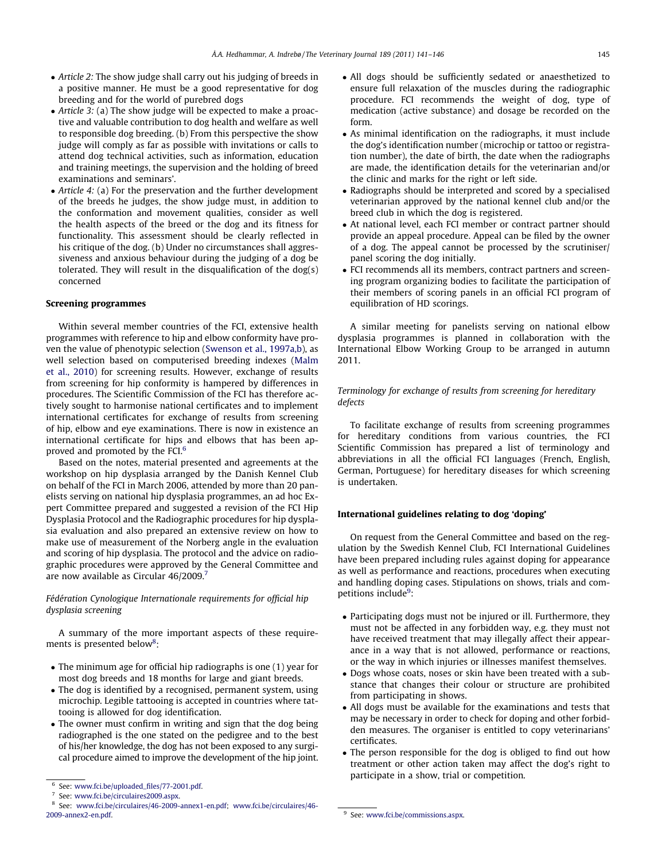- Article 2: The show judge shall carry out his judging of breeds in a positive manner. He must be a good representative for dog breeding and for the world of purebred dogs
- Article 3: (a) The show judge will be expected to make a proactive and valuable contribution to dog health and welfare as well to responsible dog breeding. (b) From this perspective the show judge will comply as far as possible with invitations or calls to attend dog technical activities, such as information, education and training meetings, the supervision and the holding of breed examinations and seminars'.
- Article 4: (a) For the preservation and the further development of the breeds he judges, the show judge must, in addition to the conformation and movement qualities, consider as well the health aspects of the breed or the dog and its fitness for functionality. This assessment should be clearly reflected in his critique of the dog. (b) Under no circumstances shall aggressiveness and anxious behaviour during the judging of a dog be tolerated. They will result in the disqualification of the dog(s) concerned

## Screening programmes

Within several member countries of the FCI, extensive health programmes with reference to hip and elbow conformity have proven the value of phenotypic selection ([Swenson et al., 1997a,b](#page-5-0)), as well selection based on computerised breeding indexes ([Malm](#page-5-0) [et al., 2010\)](#page-5-0) for screening results. However, exchange of results from screening for hip conformity is hampered by differences in procedures. The Scientific Commission of the FCI has therefore actively sought to harmonise national certificates and to implement international certificates for exchange of results from screening of hip, elbow and eye examinations. There is now in existence an international certificate for hips and elbows that has been approved and promoted by the FCI.6

Based on the notes, material presented and agreements at the workshop on hip dysplasia arranged by the Danish Kennel Club on behalf of the FCI in March 2006, attended by more than 20 panelists serving on national hip dysplasia programmes, an ad hoc Expert Committee prepared and suggested a revision of the FCI Hip Dysplasia Protocol and the Radiographic procedures for hip dysplasia evaluation and also prepared an extensive review on how to make use of measurement of the Norberg angle in the evaluation and scoring of hip dysplasia. The protocol and the advice on radiographic procedures were approved by the General Committee and are now available as Circular 46/2009.<sup>7</sup>

# Fédération Cynologique Internationale requirements for official hip dysplasia screening

A summary of the more important aspects of these requirements is presented below<sup>8</sup>:

- The minimum age for official hip radiographs is one (1) year for most dog breeds and 18 months for large and giant breeds.
- The dog is identified by a recognised, permanent system, using microchip. Legible tattooing is accepted in countries where tattooing is allowed for dog identification.
- The owner must confirm in writing and sign that the dog being radiographed is the one stated on the pedigree and to the best of his/her knowledge, the dog has not been exposed to any surgical procedure aimed to improve the development of the hip joint.
- All dogs should be sufficiently sedated or anaesthetized to ensure full relaxation of the muscles during the radiographic procedure. FCI recommends the weight of dog, type of medication (active substance) and dosage be recorded on the form.
- As minimal identification on the radiographs, it must include the dog's identification number (microchip or tattoo or registration number), the date of birth, the date when the radiographs are made, the identification details for the veterinarian and/or the clinic and marks for the right or left side.
- Radiographs should be interpreted and scored by a specialised veterinarian approved by the national kennel club and/or the breed club in which the dog is registered.
- At national level, each FCI member or contract partner should provide an appeal procedure. Appeal can be filed by the owner of a dog. The appeal cannot be processed by the scrutiniser/ panel scoring the dog initially.
- FCI recommends all its members, contract partners and screening program organizing bodies to facilitate the participation of their members of scoring panels in an official FCI program of equilibration of HD scorings.

A similar meeting for panelists serving on national elbow dysplasia programmes is planned in collaboration with the International Elbow Working Group to be arranged in autumn 2011.

# Terminology for exchange of results from screening for hereditary defects

To facilitate exchange of results from screening programmes for hereditary conditions from various countries, the FCI Scientific Commission has prepared a list of terminology and abbreviations in all the official FCI languages (French, English, German, Portuguese) for hereditary diseases for which screening is undertaken.

#### International guidelines relating to dog 'doping'

On request from the General Committee and based on the regulation by the Swedish Kennel Club, FCI International Guidelines have been prepared including rules against doping for appearance as well as performance and reactions, procedures when executing and handling doping cases. Stipulations on shows, trials and competitions include<sup>9</sup>:

- Participating dogs must not be injured or ill. Furthermore, they must not be affected in any forbidden way, e.g. they must not have received treatment that may illegally affect their appearance in a way that is not allowed, performance or reactions, or the way in which injuries or illnesses manifest themselves.
- Dogs whose coats, noses or skin have been treated with a substance that changes their colour or structure are prohibited from participating in shows.
- All dogs must be available for the examinations and tests that may be necessary in order to check for doping and other forbidden measures. The organiser is entitled to copy veterinarians' certificates.
- The person responsible for the dog is obliged to find out how treatment or other action taken may affect the dog's right to participate in a show, trial or competition.

<sup>6</sup> See: [www.fci.be/uploaded\\_files/77-2001.pdf.](http://www.fci.be/uploaded_files/77-2001.pdf)

See: [www.fci.be/circulaires2009.aspx.](http://www.fci.be/circulaires2009.aspx)

<sup>8</sup> See: [www.fci.be/circulaires/46-2009-annex1-en.pdf;](http://www.fci.be/circulaires/46-2009-annex1-en.pdf) [www.fci.be/circulaires/46-](http://www.fci.be/circulaires/46-2009-annex2-en.pdf) [2009-annex2-en.pdf](http://www.fci.be/circulaires/46-2009-annex2-en.pdf). 2009-annex2-en.pdf. 2009-annex2-en.pdf.